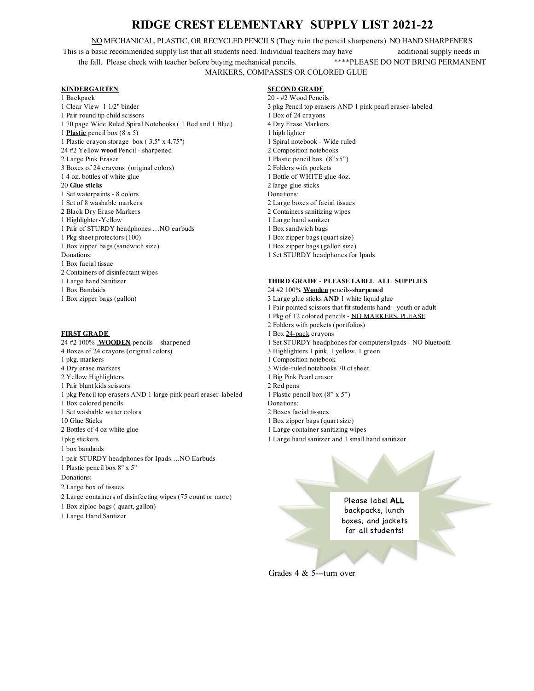# **RIDGE CREST ELEMENTARY SUPPLY LIST 2021-22**

NO MECHANICAL, PLASTIC, OR RECYCLED PENCILS (They ruin the pencil sharpeners) NO HAND SHARPENERS This is a basic recommended supply list that all students need. Individual teachers may have additional supply needs in the fall. Please check with teacher before buying mechanical pencils. \*\*\*\*PLEASE DO NOT BRING PERMANENT MARKERS, COMPASSES OR COLORED GLUE

## **KINDERGARTEN SECOND GRADE**

- 1 Backpack 20 #2 Wood Pencils
- 1 Pair round tip child scissors 1 Box of 24 crayons 1 70 page Wide Ruled Spiral Notebooks ( 1 Red and 1 Blue) 4 Dry Erase Markers 1 **Plastic** pencil box (8 x 5) 1 high lighter<br>
1 Plastic crayon storage box (3.5" x 4.75") 1 Spiral notebook - Wide ruled 1 Plastic crayon storage box  $(3.5" \times 4.75")$ 24 #2 Yellow **wood** Pencil - sharpened 2 Composition notebooks 2 Large Pink Eraser 1 Plastic pencil box (8"x5") 3 Boxes of 24 crayons (original colors) 2 Folders with pockets 1 4 oz. bottles of white glue 1 Bottle of WHITE glue 4oz. 20 **Glue sticks** 2 large glue sticks 1 Set waterpaints - 8 colors Donations: 1 Set of 8 washable markers 2 Large boxes of facial tissues 2 Black Dry Erase Markers 2 Containers sanitizing wipes 1 Highlighter-Yellow 1 Large hand sanitzer 1 Pair of STURDY headphones ... NO earbuds 1 Box sandwich bags 1 Pkg sheet protectors (100) 1 Box zipper bags (quart size) 1 Box zipper bags (sandwich size) 1 Box zipper bags (gallon size) Donations: 1 Set STURDY headphones for Ipads 1 Box facial tissue 2 Containers of disinfectant wipes 1 Large hand Sanitizer **THIRD GRADE** - **PLEASE LABEL ALL SUPPLIES** 1 Box Bandaids 24 #2 100% **Wooden** pencils-**sharpened** 1 Box zipper bags (gallon) 3 Large glue sticks **AND** 1 white liquid glue

4 Boxes of 24 crayons (original colors) 3 Highlighters 1 pink, 1 yellow, 1 green 1 pkg. markers 1 Composition notebook 4 Dry erase markers 3 Wide-ruled notebooks 70 ct sheet 2 Yellow Highlighters 1 Big Pink Pearl eraser 1 Pair blunt kids scissors 2 Red pens 1 pkg Pencil top erasers AND 1 large pink pearl eraser-labeled 1 Plastic pencil box (8" x 5") 1 Box colored pencils Donations: 1 Set washable water colors 2 Boxes facial tissues 10 Glue Sticks 1 Box zipper bags (quart size) 2 Bottles of 4 oz white glue 1 Large container sanitizing wipes 1pkg stickers 1 Large hand sanitzer and 1 small hand sanitizer 1 box bandaids 1 pair STURDY headphones for Ipads….NO Earbuds 1 Plastic pencil box 8" x 5" Donations: 2 Large box of tissues 2 Large containers of disinfecting wipes (75 count or more) 1 Box ziploc bags ( quart, gallon) 1 Large Hand Santizer

- 1 Clear View 1 1/2" binder 3 pkg Pencil top erasers AND 1 pink pearl eraser-labeled
	-
	-
	-

- 
- 
- 1 Pair pointed scissors that fit students hand youth or adult
- 1 Pkg of 12 colored pencils NO MARKERS, PLEASE
- 2 Folders with pockets (portfolios)
- **FIRST GRADE** 1 Box 24-pack crayons
- 24 #2 100% **WOODEN** pencils -sharpened 1 Set STURDY headphones for computers/Ipads NO bluetooth
	-
	-
	-
	-
	-
	-
	-
	-
	-
	-
	-

Please label **ALL** backpacks, lunch boxes, and jackets for all students!

Grades 4 & 5---turn over